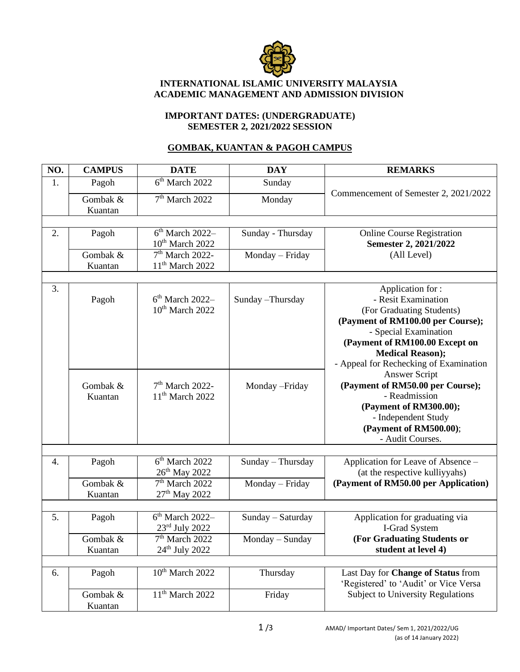

## **INTERNATIONAL ISLAMIC UNIVERSITY MALAYSIA ACADEMIC MANAGEMENT AND ADMISSION DIVISION**

## **IMPORTANT DATES: (UNDERGRADUATE) SEMESTER 2, 2021/2022 SESSION**

## **GOMBAK, KUANTAN & PAGOH CAMPUS**

| NO. | <b>CAMPUS</b>       | <b>DATE</b>                                      | <b>DAY</b>        | <b>REMARKS</b>                                                                                                                                                                                                                                                    |
|-----|---------------------|--------------------------------------------------|-------------------|-------------------------------------------------------------------------------------------------------------------------------------------------------------------------------------------------------------------------------------------------------------------|
| 1.  | Pagoh               | 6 <sup>th</sup> March 2022                       | Sunday            | Commencement of Semester 2, 2021/2022                                                                                                                                                                                                                             |
|     | Gombak &<br>Kuantan | $7th$ March 2022                                 | Monday            |                                                                                                                                                                                                                                                                   |
| 2.  | Pagoh               | $6th$ March 2022–<br>$10th$ March 2022           | Sunday - Thursday | <b>Online Course Registration</b><br>Semester 2, 2021/2022<br>(All Level)                                                                                                                                                                                         |
|     | Gombak &<br>Kuantan | 7 <sup>th</sup> March 2022-<br>$11th$ March 2022 | Monday - Friday   |                                                                                                                                                                                                                                                                   |
| 3.  | Pagoh               | $6th$ March 2022–<br>$10th$ March 2022           | Sunday -Thursday  | Application for:<br>- Resit Examination<br>(For Graduating Students)<br>(Payment of RM100.00 per Course);<br>- Special Examination<br>(Payment of RM100.00 Except on<br><b>Medical Reason);</b><br>- Appeal for Rechecking of Examination<br><b>Answer Script</b> |
|     | Gombak &<br>Kuantan | $7th$ March 2022-<br>11 <sup>th</sup> March 2022 | Monday - Friday   | (Payment of RM50.00 per Course);<br>- Readmission<br>(Payment of RM300.00);<br>- Independent Study<br>(Payment of RM500.00);<br>- Audit Courses.                                                                                                                  |
| 4.  | Pagoh               | $6th$ March 2022<br>26 <sup>th</sup> May 2022    | Sunday - Thursday | Application for Leave of Absence -<br>(at the respective kulliyyahs)                                                                                                                                                                                              |
|     | Gombak &<br>Kuantan | $7th$ March 2022<br>27 <sup>th</sup> May 2022    | Monday - Friday   | (Payment of RM50.00 per Application)                                                                                                                                                                                                                              |
| 5.  | Pagoh               | $6th$ March 2022-<br>$23rd$ July 2022            | Sunday - Saturday | Application for graduating via<br>I-Grad System                                                                                                                                                                                                                   |
|     | Gombak &<br>Kuantan | $7th$ March 2022<br>$24th$ July 2022             | Monday - Sunday   | (For Graduating Students or<br>student at level 4)                                                                                                                                                                                                                |
| 6.  | Pagoh               | $10^{th}$ March 2022                             | Thursday          | Last Day for Change of Status from<br>'Registered' to 'Audit' or Vice Versa                                                                                                                                                                                       |
|     | Gombak &<br>Kuantan | $11th$ March 2022                                | Friday            | <b>Subject to University Regulations</b>                                                                                                                                                                                                                          |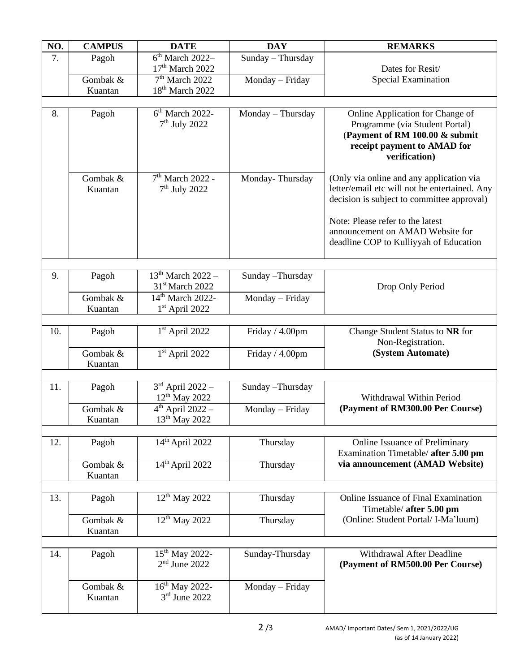| NO. | <b>CAMPUS</b>       | <b>DATE</b>                                               | <b>DAY</b>        | <b>REMARKS</b>                                                                                                                                       |
|-----|---------------------|-----------------------------------------------------------|-------------------|------------------------------------------------------------------------------------------------------------------------------------------------------|
| 7.  | Pagoh               | $\overline{6^{th}}$ March 2022-<br>$17th$ March 2022      | Sunday - Thursday | Dates for Resit/<br><b>Special Examination</b>                                                                                                       |
|     | Gombak &<br>Kuantan | 7 <sup>th</sup> March 2022<br>18 <sup>th</sup> March 2022 | Monday - Friday   |                                                                                                                                                      |
|     |                     |                                                           |                   |                                                                                                                                                      |
| 8.  | Pagoh               | $6th$ March 2022-<br>$7th$ July 2022                      | Monday - Thursday | Online Application for Change of<br>Programme (via Student Portal)<br>(Payment of RM 100.00 & submit<br>receipt payment to AMAD for<br>verification) |
|     | Gombak &<br>Kuantan | $7th$ March 2022 -<br>$7th$ July 2022                     | Monday-Thursday   | (Only via online and any application via<br>letter/email etc will not be entertained. Any<br>decision is subject to committee approval)              |
|     |                     |                                                           |                   | Note: Please refer to the latest<br>announcement on AMAD Website for<br>deadline COP to Kulliyyah of Education                                       |
|     |                     |                                                           |                   |                                                                                                                                                      |
| 9.  | Pagoh               | $13^{th}$ March $2022 -$<br>31 <sup>st</sup> March 2022   | Sunday - Thursday | Drop Only Period                                                                                                                                     |
|     | Gombak &            | 14 <sup>th</sup> March 2022-                              | Monday - Friday   |                                                                                                                                                      |
|     | Kuantan             | $1st$ April 2022                                          |                   |                                                                                                                                                      |
| 10. | Pagoh               | $1st$ April 2022                                          | Friday / 4.00pm   | Change Student Status to NR for<br>Non-Registration.<br>(System Automate)                                                                            |
|     | Gombak &<br>Kuantan | $1st$ April 2022                                          | Friday / 4.00pm   |                                                                                                                                                      |
|     |                     |                                                           |                   |                                                                                                                                                      |
| 11. | Pagoh               | $3rd$ April 2022 –<br>12 <sup>th</sup> May 2022           | Sunday - Thursday | Withdrawal Within Period<br>(Payment of RM300.00 Per Course)                                                                                         |
|     | Gombak &<br>Kuantan | $4th$ April 2022 -<br>13 <sup>th</sup> May 2022           | Monday - Friday   |                                                                                                                                                      |
| 12. |                     | $14th$ April 2022                                         |                   |                                                                                                                                                      |
|     | Pagoh               |                                                           | Thursday          | Online Issuance of Preliminary<br>Examination Timetable/ after 5.00 pm<br>via announcement (AMAD Website)                                            |
|     | Gombak &<br>Kuantan | $14th$ April 2022                                         | Thursday          |                                                                                                                                                      |
|     |                     |                                                           |                   |                                                                                                                                                      |
| 13. | Pagoh               | 12 <sup>th</sup> May 2022                                 | Thursday          | Online Issuance of Final Examination<br>Timetable/ after 5.00 pm<br>(Online: Student Portal/ I-Ma'luum)                                              |
|     | Gombak &<br>Kuantan | $12^{th}$ May 2022                                        | Thursday          |                                                                                                                                                      |
|     |                     |                                                           |                   |                                                                                                                                                      |
| 14. | Pagoh               | 15 <sup>th</sup> May 2022-<br>$2nd$ June 2022             | Sunday-Thursday   | Withdrawal After Deadline<br>(Payment of RM500.00 Per Course)                                                                                        |
|     | Gombak &<br>Kuantan | 16 <sup>th</sup> May 2022-<br>$3rd$ June 2022             | Monday - Friday   |                                                                                                                                                      |